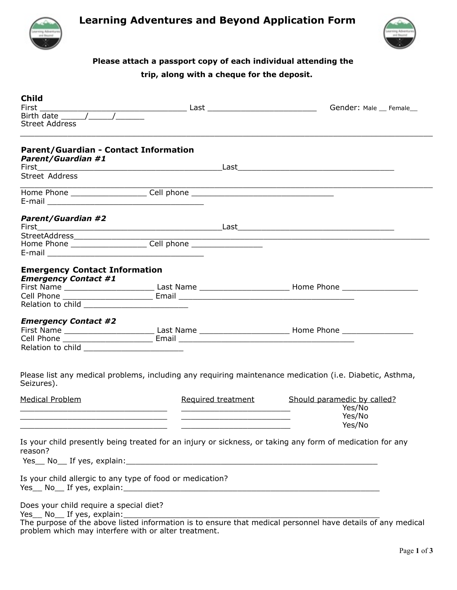

# **Learning Adventures and Beyond Application Form**



### **Please attach a passport copy of each individual attending the trip, along with a cheque for the deposit.**

| <b>Child</b>                                                                                                                 |                                                                                  |                                                                                                                |  |
|------------------------------------------------------------------------------------------------------------------------------|----------------------------------------------------------------------------------|----------------------------------------------------------------------------------------------------------------|--|
| <b>Street Address</b>                                                                                                        |                                                                                  | Gender: Male __ Female__                                                                                       |  |
| <b>Parent/Guardian - Contact Information</b><br><b>Parent/Guardian #1</b>                                                    |                                                                                  |                                                                                                                |  |
| Street Address                                                                                                               |                                                                                  |                                                                                                                |  |
|                                                                                                                              | Home Phone _______________________Cell phone ___________________________________ |                                                                                                                |  |
| <b>Parent/Guardian #2</b>                                                                                                    |                                                                                  |                                                                                                                |  |
|                                                                                                                              |                                                                                  |                                                                                                                |  |
| <b>Emergency Contact Information</b><br><b>Emergency Contact #1</b>                                                          |                                                                                  | First Name ________________________________Last Name ____________________________ Home Phone _________________ |  |
| <b>Emergency Contact #2</b>                                                                                                  |                                                                                  |                                                                                                                |  |
| Seizures).                                                                                                                   |                                                                                  | Please list any medical problems, including any requiring maintenance medication (i.e. Diabetic, Asthma,       |  |
| <b>Medical Problem</b><br><u> 2000 - Jan Barnett, amerikansk politik (d. 1982)</u>                                           |                                                                                  | Required treatment Should paramedic by called?<br>Yes/No<br>Yes/No<br>Yes/No                                   |  |
| reason?                                                                                                                      |                                                                                  | Is your child presently being treated for an injury or sickness, or taking any form of medication for any      |  |
| Is your child allergic to any type of food or medication?                                                                    |                                                                                  |                                                                                                                |  |
| Does your child require a special diet?<br>Yes_ No_ If yes, explain:<br>problem which may interfere with or alter treatment. |                                                                                  | The purpose of the above listed information is to ensure that medical personnel have details of any medical    |  |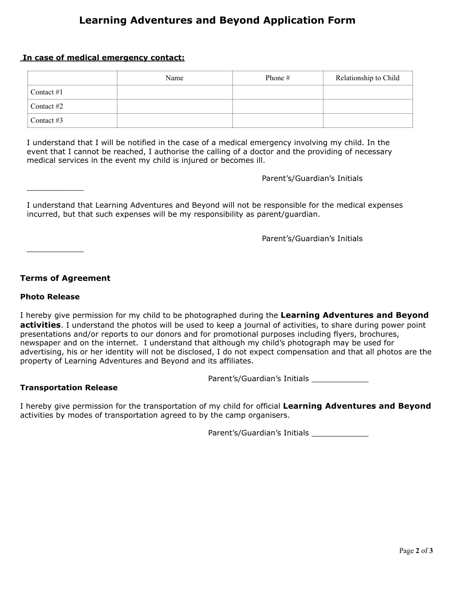# **Learning Adventures and Beyond Application Form**

#### **In case of medical emergency contact:**

|              | Name | Phone $#$ | Relationship to Child |
|--------------|------|-----------|-----------------------|
| Contact $#1$ |      |           |                       |
| Contact $#2$ |      |           |                       |
| Contact $#3$ |      |           |                       |

I understand that I will be notified in the case of a medical emergency involving my child. In the event that I cannot be reached, I authorise the calling of a doctor and the providing of necessary medical services in the event my child is injured or becomes ill.

#### Parent's/Guardian's Initials

I understand that Learning Adventures and Beyond will not be responsible for the medical expenses incurred, but that such expenses will be my responsibility as parent/guardian.

Parent's/Guardian's Initials

**Terms of Agreement** 

#### **Photo Release**

 $\mathcal{L}=\mathcal{L}$ 

 $\mathcal{L}=\mathcal{L}$ 

I hereby give permission for my child to be photographed during the **Learning Adventures and Beyond activities**. I understand the photos will be used to keep a journal of activities, to share during power point presentations and/or reports to our donors and for promotional purposes including flyers, brochures, newspaper and on the internet. I understand that although my child's photograph may be used for advertising, his or her identity will not be disclosed, I do not expect compensation and that all photos are the property of Learning Adventures and Beyond and its affiliates.

Parent's/Guardian's Initials \_\_\_\_\_\_\_\_\_\_\_\_

#### **Transportation Release**

I hereby give permission for the transportation of my child for official **Learning Adventures and Beyond**  activities by modes of transportation agreed to by the camp organisers.

Parent's/Guardian's Initials